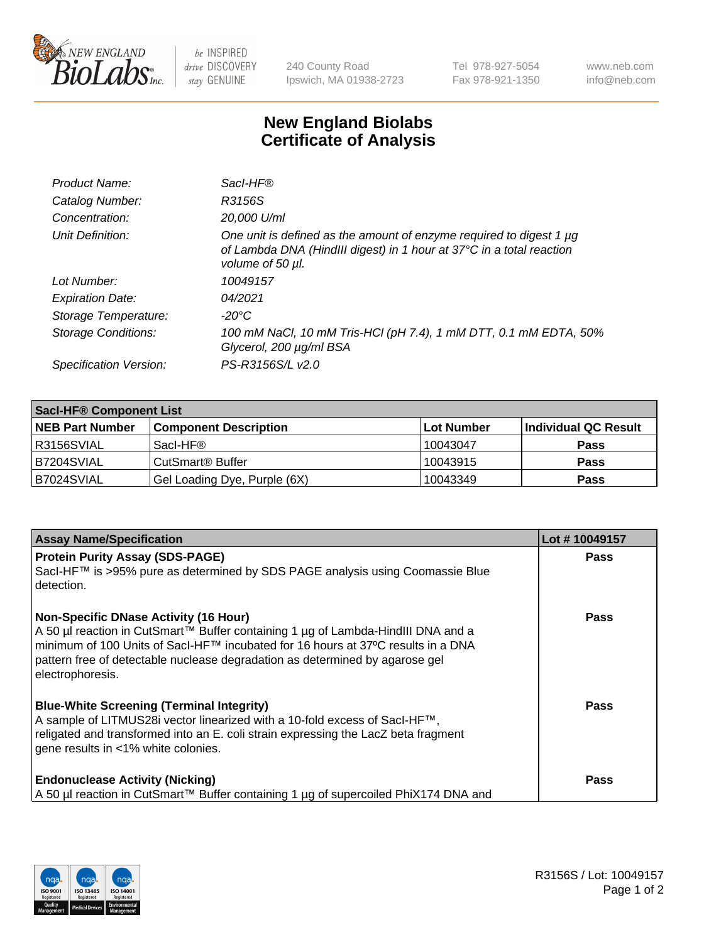

 $be$  INSPIRED drive DISCOVERY stay GENUINE

240 County Road Ipswich, MA 01938-2723 Tel 978-927-5054 Fax 978-921-1350 www.neb.com info@neb.com

## **New England Biolabs Certificate of Analysis**

| Product Name:           | Sacl-HF®                                                                                                                                                             |
|-------------------------|----------------------------------------------------------------------------------------------------------------------------------------------------------------------|
| Catalog Number:         | R3156S                                                                                                                                                               |
| Concentration:          | 20,000 U/ml                                                                                                                                                          |
| Unit Definition:        | One unit is defined as the amount of enzyme required to digest 1 $\mu$ g<br>of Lambda DNA (HindIII digest) in 1 hour at 37°C in a total reaction<br>volume of 50 µl. |
| Lot Number:             | 10049157                                                                                                                                                             |
| <b>Expiration Date:</b> | 04/2021                                                                                                                                                              |
| Storage Temperature:    | $-20^{\circ}$ C                                                                                                                                                      |
| Storage Conditions:     | 100 mM NaCl, 10 mM Tris-HCl (pH 7.4), 1 mM DTT, 0.1 mM EDTA, 50%<br>Glycerol, 200 µg/ml BSA                                                                          |
| Specification Version:  | PS-R3156S/L v2.0                                                                                                                                                     |

| <b>Saci-HF® Component List</b> |                              |            |                      |  |  |
|--------------------------------|------------------------------|------------|----------------------|--|--|
| <b>NEB Part Number</b>         | <b>Component Description</b> | Lot Number | Individual QC Result |  |  |
| I R3156SVIAL                   | Sacl-HF®                     | 10043047   | <b>Pass</b>          |  |  |
| B7204SVIAL                     | CutSmart <sup>®</sup> Buffer | 10043915   | <b>Pass</b>          |  |  |
| B7024SVIAL                     | Gel Loading Dye, Purple (6X) | 10043349   | <b>Pass</b>          |  |  |

| <b>Assay Name/Specification</b>                                                                                                                                                                                                                                                                                              | Lot #10049157 |
|------------------------------------------------------------------------------------------------------------------------------------------------------------------------------------------------------------------------------------------------------------------------------------------------------------------------------|---------------|
| <b>Protein Purity Assay (SDS-PAGE)</b><br>Sacl-HF™ is >95% pure as determined by SDS PAGE analysis using Coomassie Blue<br>l detection.                                                                                                                                                                                      | <b>Pass</b>   |
| <b>Non-Specific DNase Activity (16 Hour)</b><br>  A 50 µl reaction in CutSmart™ Buffer containing 1 µg of Lambda-HindIII DNA and a<br>  minimum of 100 Units of Sacl-HF™ incubated for 16 hours at 37°C results in a DNA<br>pattern free of detectable nuclease degradation as determined by agarose gel<br>electrophoresis. | <b>Pass</b>   |
| <b>Blue-White Screening (Terminal Integrity)</b><br>A sample of LITMUS28i vector linearized with a 10-fold excess of SacI-HF <sup>™</sup> ,<br>religated and transformed into an E. coli strain expressing the LacZ beta fragment<br>gene results in <1% white colonies.                                                     | Pass          |
| <b>Endonuclease Activity (Nicking)</b><br>A 50 µl reaction in CutSmart™ Buffer containing 1 µg of supercoiled PhiX174 DNA and                                                                                                                                                                                                | <b>Pass</b>   |